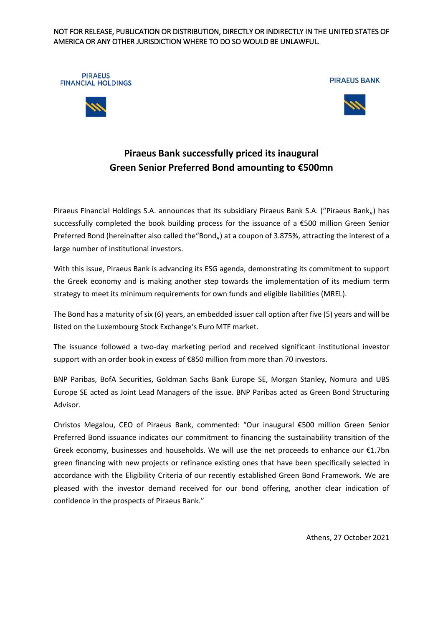## NOT FOR RELEASE, PUBLICATION OR DISTRIBUTION, DIRECTLY OR INDIRECTLY IN THE UNITED STATES OF AMERICA OR ANY OTHER JURISDICTION WHERE TO DO SO WOULD BE UNLAWFUL.

**PIRAEUS FINANCIAL HOLDINGS** 







## **Piraeus Bank successfully priced its inaugural Green Senior Preferred Bond amounting to €500mn**

Piraeus Financial Holdings S.A. announces that its subsidiary Piraeus Bank S.A. ("Piraeus Bank,,) has successfully completed the book building process for the issuance of a €500 million Green Senior Preferred Bond (hereinafter also called the "Bond,,) at a coupon of 3.875%, attracting the interest of a large number of institutional investors.

With this issue, Piraeus Bank is advancing its ESG agenda, demonstrating its commitment to support the Greek economy and is making another step towards the implementation of its medium term strategy to meet its minimum requirements for own funds and eligible liabilities (MREL).

The Bond has a maturity of six (6) years, an embedded issuer call option after five (5) years and will be listed on the Luxembourg Stock Exchange's Euro MTF market.

The issuance followed a two-day marketing period and received significant institutional investor support with an order book in excess of €850 million from more than 70 investors.

BNP Paribas, BofA Securities, Goldman Sachs Bank Europe SE, Morgan Stanley, Nomura and UBS Europe SE acted as Joint Lead Managers of the issue. BNP Paribas acted as Green Bond Structuring Advisor.

Christos Megalou, CEO of Piraeus Bank, commented: "Our inaugural €500 million Green Senior Preferred Bond issuance indicates our commitment to financing the sustainability transition of the Greek economy, businesses and households. We will use the net proceeds to enhance our  $\epsilon$ 1.7bn green financing with new projects or refinance existing ones that have been specifically selected in accordance with the Eligibility Criteria of our recently established Green Bond Framework. We are pleased with the investor demand received for our bond offering, another clear indication of confidence in the prospects of Piraeus Bank."

Athens, 27 October 2021